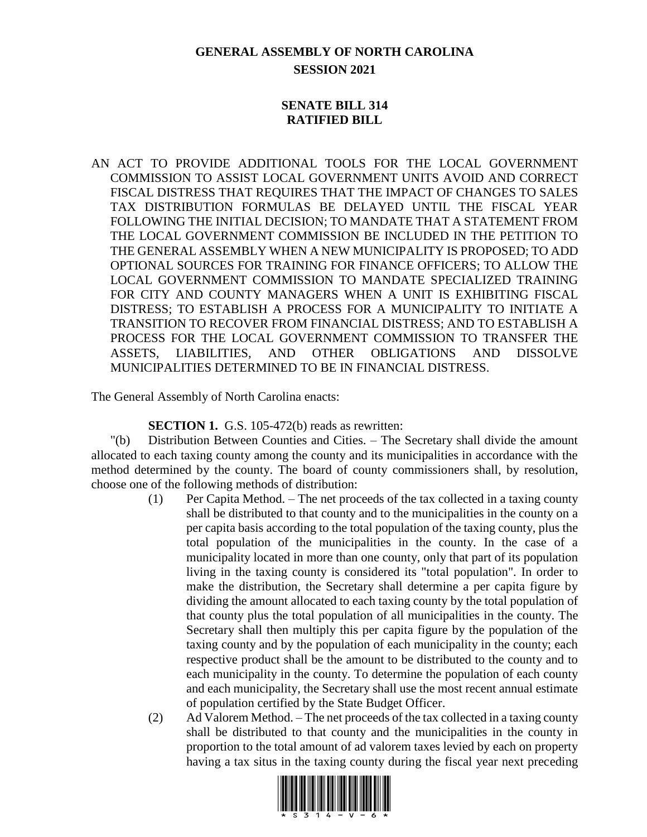# **GENERAL ASSEMBLY OF NORTH CAROLINA SESSION 2021**

#### **SENATE BILL 314 RATIFIED BILL**

AN ACT TO PROVIDE ADDITIONAL TOOLS FOR THE LOCAL GOVERNMENT COMMISSION TO ASSIST LOCAL GOVERNMENT UNITS AVOID AND CORRECT FISCAL DISTRESS THAT REQUIRES THAT THE IMPACT OF CHANGES TO SALES TAX DISTRIBUTION FORMULAS BE DELAYED UNTIL THE FISCAL YEAR FOLLOWING THE INITIAL DECISION; TO MANDATE THAT A STATEMENT FROM THE LOCAL GOVERNMENT COMMISSION BE INCLUDED IN THE PETITION TO THE GENERAL ASSEMBLY WHEN A NEW MUNICIPALITY IS PROPOSED; TO ADD OPTIONAL SOURCES FOR TRAINING FOR FINANCE OFFICERS; TO ALLOW THE LOCAL GOVERNMENT COMMISSION TO MANDATE SPECIALIZED TRAINING FOR CITY AND COUNTY MANAGERS WHEN A UNIT IS EXHIBITING FISCAL DISTRESS; TO ESTABLISH A PROCESS FOR A MUNICIPALITY TO INITIATE A TRANSITION TO RECOVER FROM FINANCIAL DISTRESS; AND TO ESTABLISH A PROCESS FOR THE LOCAL GOVERNMENT COMMISSION TO TRANSFER THE ASSETS, LIABILITIES, AND OTHER OBLIGATIONS AND DISSOLVE MUNICIPALITIES DETERMINED TO BE IN FINANCIAL DISTRESS.

The General Assembly of North Carolina enacts:

**SECTION 1.** G.S. 105-472(b) reads as rewritten:

"(b) Distribution Between Counties and Cities. – The Secretary shall divide the amount allocated to each taxing county among the county and its municipalities in accordance with the method determined by the county. The board of county commissioners shall, by resolution, choose one of the following methods of distribution:

- (1) Per Capita Method. The net proceeds of the tax collected in a taxing county shall be distributed to that county and to the municipalities in the county on a per capita basis according to the total population of the taxing county, plus the total population of the municipalities in the county. In the case of a municipality located in more than one county, only that part of its population living in the taxing county is considered its "total population". In order to make the distribution, the Secretary shall determine a per capita figure by dividing the amount allocated to each taxing county by the total population of that county plus the total population of all municipalities in the county. The Secretary shall then multiply this per capita figure by the population of the taxing county and by the population of each municipality in the county; each respective product shall be the amount to be distributed to the county and to each municipality in the county. To determine the population of each county and each municipality, the Secretary shall use the most recent annual estimate of population certified by the State Budget Officer.
- (2) Ad Valorem Method. The net proceeds of the tax collected in a taxing county shall be distributed to that county and the municipalities in the county in proportion to the total amount of ad valorem taxes levied by each on property having a tax situs in the taxing county during the fiscal year next preceding

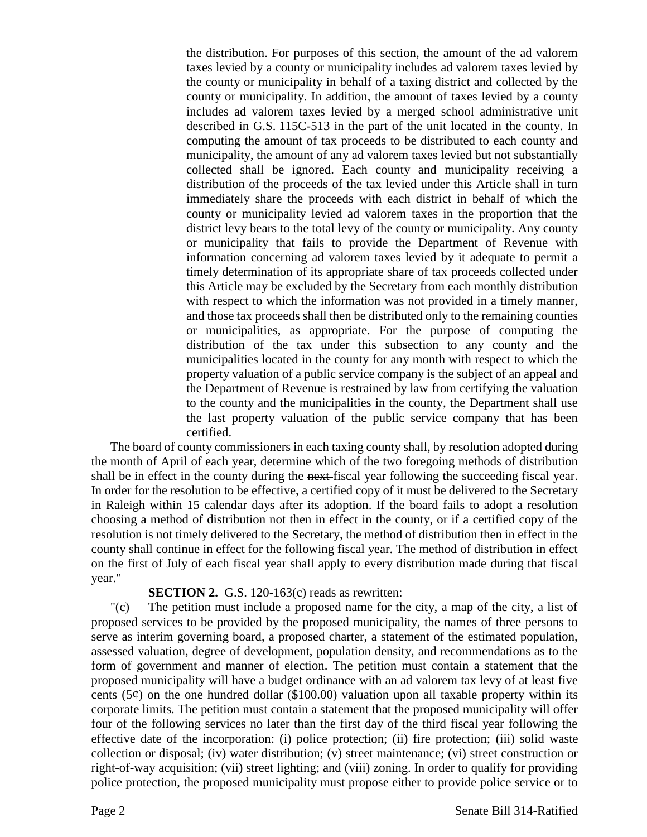the distribution. For purposes of this section, the amount of the ad valorem taxes levied by a county or municipality includes ad valorem taxes levied by the county or municipality in behalf of a taxing district and collected by the county or municipality. In addition, the amount of taxes levied by a county includes ad valorem taxes levied by a merged school administrative unit described in G.S. 115C-513 in the part of the unit located in the county. In computing the amount of tax proceeds to be distributed to each county and municipality, the amount of any ad valorem taxes levied but not substantially collected shall be ignored. Each county and municipality receiving a distribution of the proceeds of the tax levied under this Article shall in turn immediately share the proceeds with each district in behalf of which the county or municipality levied ad valorem taxes in the proportion that the district levy bears to the total levy of the county or municipality. Any county or municipality that fails to provide the Department of Revenue with information concerning ad valorem taxes levied by it adequate to permit a timely determination of its appropriate share of tax proceeds collected under this Article may be excluded by the Secretary from each monthly distribution with respect to which the information was not provided in a timely manner, and those tax proceeds shall then be distributed only to the remaining counties or municipalities, as appropriate. For the purpose of computing the distribution of the tax under this subsection to any county and the municipalities located in the county for any month with respect to which the property valuation of a public service company is the subject of an appeal and the Department of Revenue is restrained by law from certifying the valuation to the county and the municipalities in the county, the Department shall use the last property valuation of the public service company that has been certified.

The board of county commissioners in each taxing county shall, by resolution adopted during the month of April of each year, determine which of the two foregoing methods of distribution shall be in effect in the county during the next-fiscal year following the succeeding fiscal year. In order for the resolution to be effective, a certified copy of it must be delivered to the Secretary in Raleigh within 15 calendar days after its adoption. If the board fails to adopt a resolution choosing a method of distribution not then in effect in the county, or if a certified copy of the resolution is not timely delivered to the Secretary, the method of distribution then in effect in the county shall continue in effect for the following fiscal year. The method of distribution in effect on the first of July of each fiscal year shall apply to every distribution made during that fiscal year."

#### **SECTION 2.** G.S. 120-163(c) reads as rewritten:

"(c) The petition must include a proposed name for the city, a map of the city, a list of proposed services to be provided by the proposed municipality, the names of three persons to serve as interim governing board, a proposed charter, a statement of the estimated population, assessed valuation, degree of development, population density, and recommendations as to the form of government and manner of election. The petition must contain a statement that the proposed municipality will have a budget ordinance with an ad valorem tax levy of at least five cents (5 $\varphi$ ) on the one hundred dollar (\$100.00) valuation upon all taxable property within its corporate limits. The petition must contain a statement that the proposed municipality will offer four of the following services no later than the first day of the third fiscal year following the effective date of the incorporation: (i) police protection; (ii) fire protection; (iii) solid waste collection or disposal; (iv) water distribution; (v) street maintenance; (vi) street construction or right-of-way acquisition; (vii) street lighting; and (viii) zoning. In order to qualify for providing police protection, the proposed municipality must propose either to provide police service or to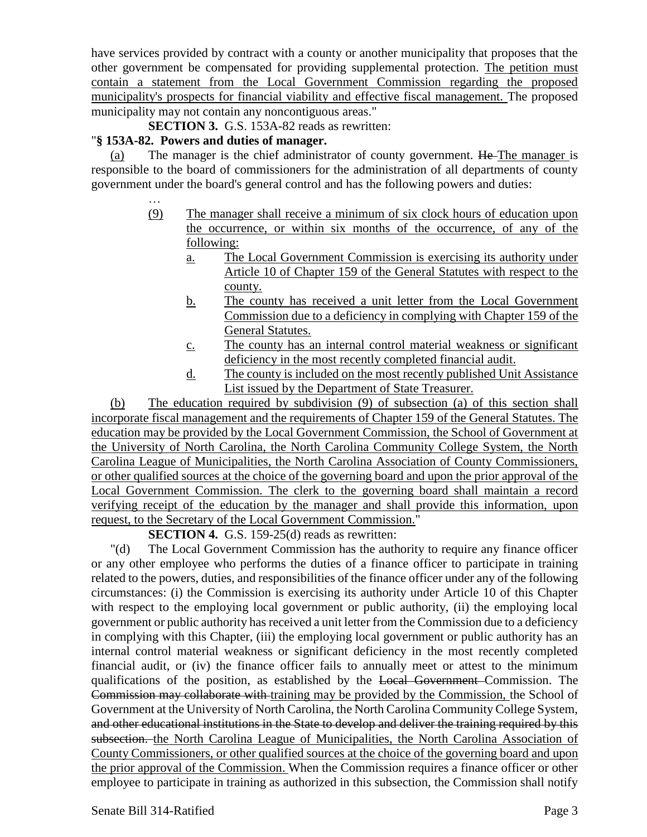have services provided by contract with a county or another municipality that proposes that the other government be compensated for providing supplemental protection. The petition must contain a statement from the Local Government Commission regarding the proposed municipality's prospects for financial viability and effective fiscal management. The proposed municipality may not contain any noncontiguous areas."

**SECTION 3.** G.S. 153A-82 reads as rewritten:

#### "**§ 153A-82. Powers and duties of manager.**

…

(a) The manager is the chief administrator of county government.  $He$ -The manager is responsible to the board of commissioners for the administration of all departments of county government under the board's general control and has the following powers and duties:

- (9) The manager shall receive a minimum of six clock hours of education upon the occurrence, or within six months of the occurrence, of any of the following:
	- a. The Local Government Commission is exercising its authority under Article 10 of Chapter 159 of the General Statutes with respect to the county.
	- b. The county has received a unit letter from the Local Government Commission due to a deficiency in complying with Chapter 159 of the General Statutes.
	- c. The county has an internal control material weakness or significant deficiency in the most recently completed financial audit.
	- d. The county is included on the most recently published Unit Assistance List issued by the Department of State Treasurer.

(b) The education required by subdivision (9) of subsection (a) of this section shall incorporate fiscal management and the requirements of Chapter 159 of the General Statutes. The education may be provided by the Local Government Commission, the School of Government at the University of North Carolina, the North Carolina Community College System, the North Carolina League of Municipalities, the North Carolina Association of County Commissioners, or other qualified sources at the choice of the governing board and upon the prior approval of the Local Government Commission. The clerk to the governing board shall maintain a record verifying receipt of the education by the manager and shall provide this information, upon request, to the Secretary of the Local Government Commission."

#### **SECTION 4.** G.S. 159-25(d) reads as rewritten:

"(d) The Local Government Commission has the authority to require any finance officer or any other employee who performs the duties of a finance officer to participate in training related to the powers, duties, and responsibilities of the finance officer under any of the following circumstances: (i) the Commission is exercising its authority under Article 10 of this Chapter with respect to the employing local government or public authority, (ii) the employing local government or public authority has received a unit letter from the Commission due to a deficiency in complying with this Chapter, (iii) the employing local government or public authority has an internal control material weakness or significant deficiency in the most recently completed financial audit, or (iv) the finance officer fails to annually meet or attest to the minimum qualifications of the position, as established by the Local Government Commission. The Commission may collaborate with training may be provided by the Commission, the School of Government at the University of North Carolina, the North Carolina Community College System, and other educational institutions in the State to develop and deliver the training required by this subsection. the North Carolina League of Municipalities, the North Carolina Association of County Commissioners, or other qualified sources at the choice of the governing board and upon the prior approval of the Commission. When the Commission requires a finance officer or other employee to participate in training as authorized in this subsection, the Commission shall notify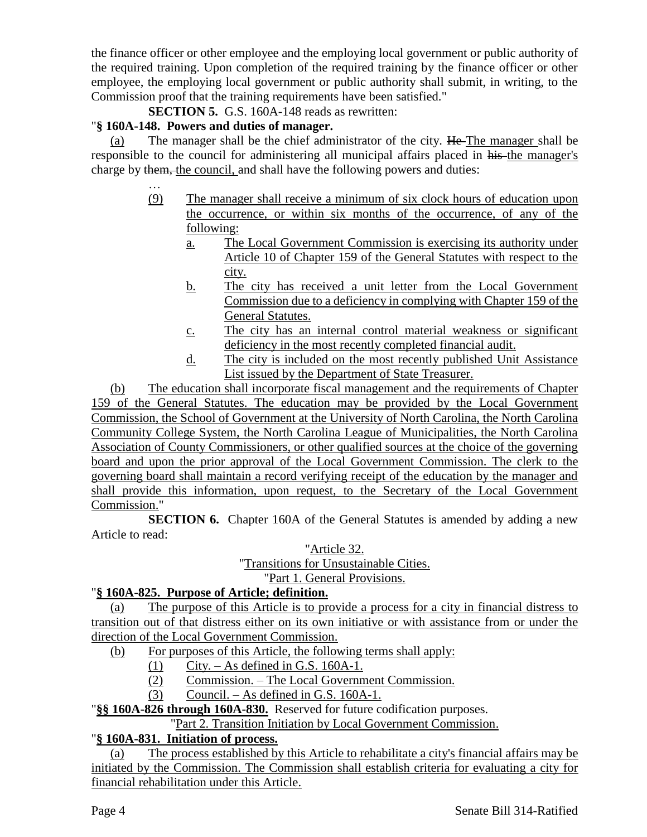the finance officer or other employee and the employing local government or public authority of the required training. Upon completion of the required training by the finance officer or other employee, the employing local government or public authority shall submit, in writing, to the Commission proof that the training requirements have been satisfied."

**SECTION 5.** G.S. 160A-148 reads as rewritten:

# "**§ 160A-148. Powers and duties of manager.**

(a) The manager shall be the chief administrator of the city.  $He$  The manager shall be responsible to the council for administering all municipal affairs placed in his the manager's charge by them, the council, and shall have the following powers and duties:

- … (9) The manager shall receive a minimum of six clock hours of education upon the occurrence, or within six months of the occurrence, of any of the following:
	- a. The Local Government Commission is exercising its authority under Article 10 of Chapter 159 of the General Statutes with respect to the city.
	- b. The city has received a unit letter from the Local Government Commission due to a deficiency in complying with Chapter 159 of the General Statutes.
	- c. The city has an internal control material weakness or significant deficiency in the most recently completed financial audit.
	- d. The city is included on the most recently published Unit Assistance List issued by the Department of State Treasurer.

(b) The education shall incorporate fiscal management and the requirements of Chapter 159 of the General Statutes. The education may be provided by the Local Government Commission, the School of Government at the University of North Carolina, the North Carolina Community College System, the North Carolina League of Municipalities, the North Carolina Association of County Commissioners, or other qualified sources at the choice of the governing board and upon the prior approval of the Local Government Commission. The clerk to the governing board shall maintain a record verifying receipt of the education by the manager and shall provide this information, upon request, to the Secretary of the Local Government Commission."

**SECTION 6.** Chapter 160A of the General Statutes is amended by adding a new Article to read:

"Article 32.

"Transitions for Unsustainable Cities.

"Part 1. General Provisions.

# "**§ 160A-825. Purpose of Article; definition.**

(a) The purpose of this Article is to provide a process for a city in financial distress to transition out of that distress either on its own initiative or with assistance from or under the direction of the Local Government Commission.

- (b) For purposes of this Article, the following terms shall apply:
	- (1) City. As defined in G.S. 160A-1.
	- (2) Commission. The Local Government Commission.
	- (3) Council. As defined in G.S. 160A-1.

"**§§ 160A-826 through 160A-830.** Reserved for future codification purposes.

"Part 2. Transition Initiation by Local Government Commission.

# "**§ 160A-831. Initiation of process.**

(a) The process established by this Article to rehabilitate a city's financial affairs may be initiated by the Commission. The Commission shall establish criteria for evaluating a city for financial rehabilitation under this Article.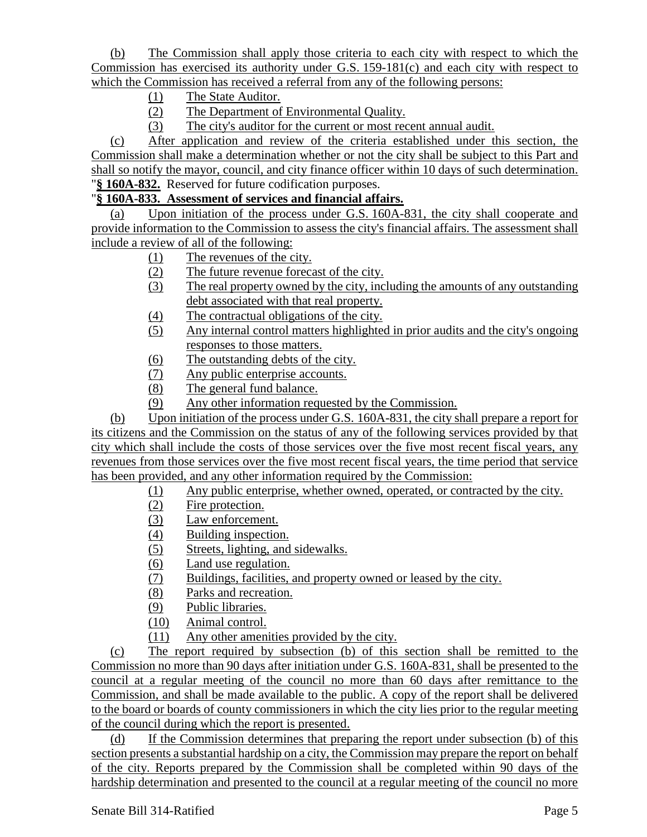(b) The Commission shall apply those criteria to each city with respect to which the Commission has exercised its authority under G.S. 159-181(c) and each city with respect to which the Commission has received a referral from any of the following persons:

- (1) The State Auditor.
- (2) The Department of Environmental Quality.
- (3) The city's auditor for the current or most recent annual audit.

(c) After application and review of the criteria established under this section, the Commission shall make a determination whether or not the city shall be subject to this Part and shall so notify the mayor, council, and city finance officer within 10 days of such determination. "**§ 160A-832.** Reserved for future codification purposes.

## "**§ 160A-833. Assessment of services and financial affairs.**

(a) Upon initiation of the process under G.S. 160A-831, the city shall cooperate and provide information to the Commission to assess the city's financial affairs. The assessment shall include a review of all of the following:

- (1) The revenues of the city.
- (2) The future revenue forecast of the city.
- (3) The real property owned by the city, including the amounts of any outstanding debt associated with that real property.
- (4) The contractual obligations of the city.
- (5) Any internal control matters highlighted in prior audits and the city's ongoing responses to those matters.
- (6) The outstanding debts of the city.
- (7) Any public enterprise accounts.
- (8) The general fund balance.
- (9) Any other information requested by the Commission.

(b) Upon initiation of the process under G.S. 160A-831, the city shall prepare a report for its citizens and the Commission on the status of any of the following services provided by that city which shall include the costs of those services over the five most recent fiscal years, any revenues from those services over the five most recent fiscal years, the time period that service has been provided, and any other information required by the Commission:

- (1) Any public enterprise, whether owned, operated, or contracted by the city.
- (2) Fire protection.
- (3) Law enforcement.
- (4) Building inspection.
- (5) Streets, lighting, and sidewalks.
- (6) Land use regulation.
- (7) Buildings, facilities, and property owned or leased by the city.
- (8) Parks and recreation.
- (9) Public libraries.
- (10) Animal control.
- (11) Any other amenities provided by the city.

(c) The report required by subsection (b) of this section shall be remitted to the Commission no more than 90 days after initiation under G.S. 160A-831, shall be presented to the council at a regular meeting of the council no more than 60 days after remittance to the Commission, and shall be made available to the public. A copy of the report shall be delivered to the board or boards of county commissioners in which the city lies prior to the regular meeting of the council during which the report is presented.

(d) If the Commission determines that preparing the report under subsection (b) of this section presents a substantial hardship on a city, the Commission may prepare the report on behalf of the city. Reports prepared by the Commission shall be completed within 90 days of the hardship determination and presented to the council at a regular meeting of the council no more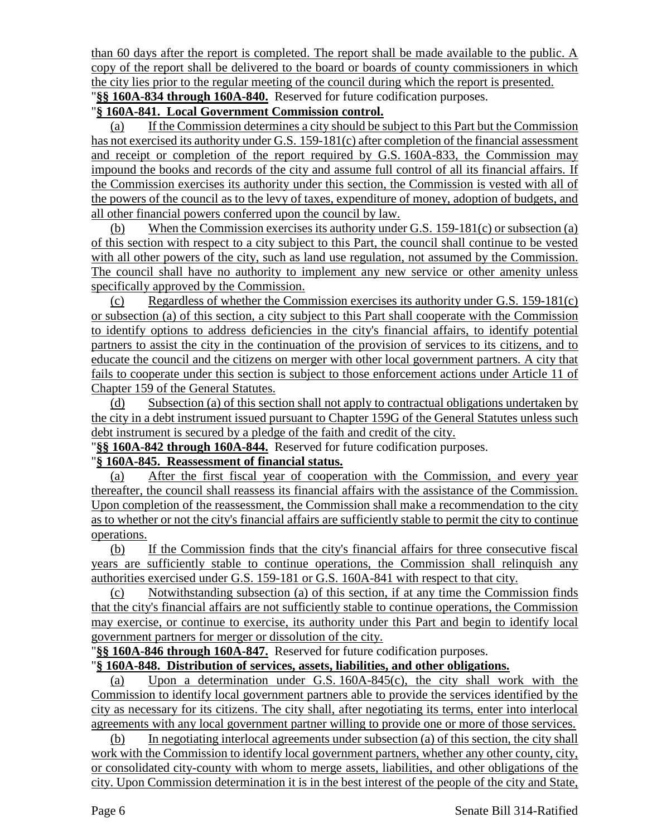than 60 days after the report is completed. The report shall be made available to the public. A copy of the report shall be delivered to the board or boards of county commissioners in which the city lies prior to the regular meeting of the council during which the report is presented. "**§§ 160A-834 through 160A-840.** Reserved for future codification purposes.

#### "**§ 160A-841. Local Government Commission control.**

(a) If the Commission determines a city should be subject to this Part but the Commission has not exercised its authority under G.S. 159-181(c) after completion of the financial assessment and receipt or completion of the report required by G.S. 160A-833, the Commission may impound the books and records of the city and assume full control of all its financial affairs. If the Commission exercises its authority under this section, the Commission is vested with all of the powers of the council as to the levy of taxes, expenditure of money, adoption of budgets, and all other financial powers conferred upon the council by law.

(b) When the Commission exercises its authority under G.S. 159-181(c) or subsection (a) of this section with respect to a city subject to this Part, the council shall continue to be vested with all other powers of the city, such as land use regulation, not assumed by the Commission. The council shall have no authority to implement any new service or other amenity unless specifically approved by the Commission.

(c) Regardless of whether the Commission exercises its authority under G.S. 159-181(c) or subsection (a) of this section, a city subject to this Part shall cooperate with the Commission to identify options to address deficiencies in the city's financial affairs, to identify potential partners to assist the city in the continuation of the provision of services to its citizens, and to educate the council and the citizens on merger with other local government partners. A city that fails to cooperate under this section is subject to those enforcement actions under Article 11 of Chapter 159 of the General Statutes.

(d) Subsection (a) of this section shall not apply to contractual obligations undertaken by the city in a debt instrument issued pursuant to Chapter 159G of the General Statutes unless such debt instrument is secured by a pledge of the faith and credit of the city.

"**§§ 160A-842 through 160A-844.** Reserved for future codification purposes.

#### "**§ 160A-845. Reassessment of financial status.**

(a) After the first fiscal year of cooperation with the Commission, and every year thereafter, the council shall reassess its financial affairs with the assistance of the Commission. Upon completion of the reassessment, the Commission shall make a recommendation to the city as to whether or not the city's financial affairs are sufficiently stable to permit the city to continue operations.

(b) If the Commission finds that the city's financial affairs for three consecutive fiscal years are sufficiently stable to continue operations, the Commission shall relinquish any authorities exercised under G.S. 159-181 or G.S. 160A-841 with respect to that city.

(c) Notwithstanding subsection (a) of this section, if at any time the Commission finds that the city's financial affairs are not sufficiently stable to continue operations, the Commission may exercise, or continue to exercise, its authority under this Part and begin to identify local government partners for merger or dissolution of the city.

"**§§ 160A-846 through 160A-847.** Reserved for future codification purposes.

#### "**§ 160A-848. Distribution of services, assets, liabilities, and other obligations.**

(a) Upon a determination under G.S. 160A-845(c), the city shall work with the Commission to identify local government partners able to provide the services identified by the city as necessary for its citizens. The city shall, after negotiating its terms, enter into interlocal agreements with any local government partner willing to provide one or more of those services.

(b) In negotiating interlocal agreements under subsection (a) of this section, the city shall work with the Commission to identify local government partners, whether any other county, city, or consolidated city-county with whom to merge assets, liabilities, and other obligations of the city. Upon Commission determination it is in the best interest of the people of the city and State,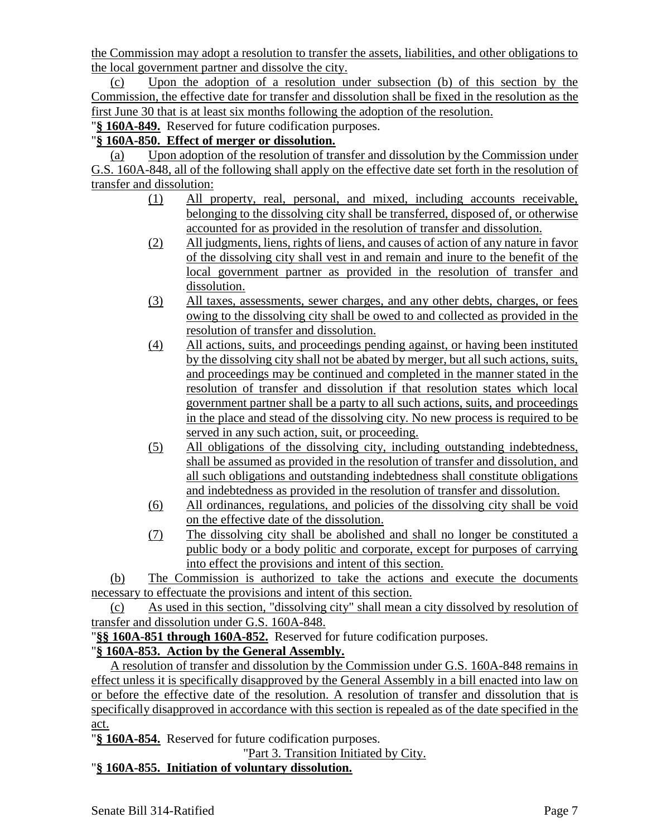the Commission may adopt a resolution to transfer the assets, liabilities, and other obligations to the local government partner and dissolve the city.

(c) Upon the adoption of a resolution under subsection (b) of this section by the Commission, the effective date for transfer and dissolution shall be fixed in the resolution as the first June 30 that is at least six months following the adoption of the resolution.

"**§ 160A-849.** Reserved for future codification purposes.

### "**§ 160A-850. Effect of merger or dissolution.**

(a) Upon adoption of the resolution of transfer and dissolution by the Commission under G.S. 160A-848, all of the following shall apply on the effective date set forth in the resolution of transfer and dissolution:

- (1) All property, real, personal, and mixed, including accounts receivable, belonging to the dissolving city shall be transferred, disposed of, or otherwise accounted for as provided in the resolution of transfer and dissolution.
- (2) All judgments, liens, rights of liens, and causes of action of any nature in favor of the dissolving city shall vest in and remain and inure to the benefit of the local government partner as provided in the resolution of transfer and dissolution.
- (3) All taxes, assessments, sewer charges, and any other debts, charges, or fees owing to the dissolving city shall be owed to and collected as provided in the resolution of transfer and dissolution.
- (4) All actions, suits, and proceedings pending against, or having been instituted by the dissolving city shall not be abated by merger, but all such actions, suits, and proceedings may be continued and completed in the manner stated in the resolution of transfer and dissolution if that resolution states which local government partner shall be a party to all such actions, suits, and proceedings in the place and stead of the dissolving city. No new process is required to be served in any such action, suit, or proceeding.
- (5) All obligations of the dissolving city, including outstanding indebtedness, shall be assumed as provided in the resolution of transfer and dissolution, and all such obligations and outstanding indebtedness shall constitute obligations and indebtedness as provided in the resolution of transfer and dissolution.
- (6) All ordinances, regulations, and policies of the dissolving city shall be void on the effective date of the dissolution.
- (7) The dissolving city shall be abolished and shall no longer be constituted a public body or a body politic and corporate, except for purposes of carrying into effect the provisions and intent of this section.

(b) The Commission is authorized to take the actions and execute the documents necessary to effectuate the provisions and intent of this section.

(c) As used in this section, "dissolving city" shall mean a city dissolved by resolution of transfer and dissolution under G.S. 160A-848.

"**§§ 160A-851 through 160A-852.** Reserved for future codification purposes.

# "**§ 160A-853. Action by the General Assembly.**

A resolution of transfer and dissolution by the Commission under G.S. 160A-848 remains in effect unless it is specifically disapproved by the General Assembly in a bill enacted into law on or before the effective date of the resolution. A resolution of transfer and dissolution that is specifically disapproved in accordance with this section is repealed as of the date specified in the act.

"**§ 160A-854.** Reserved for future codification purposes.

"Part 3. Transition Initiated by City.

# "**§ 160A-855. Initiation of voluntary dissolution.**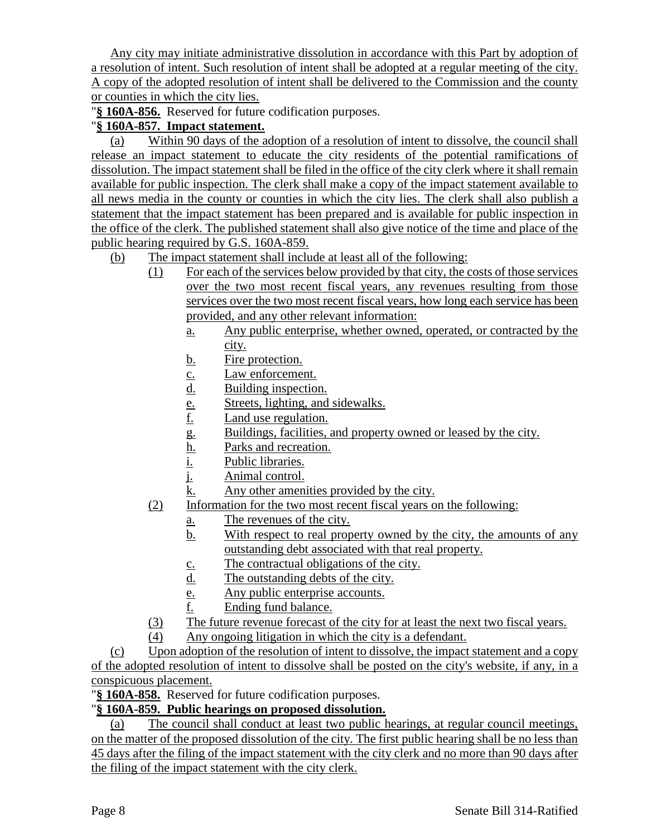Any city may initiate administrative dissolution in accordance with this Part by adoption of a resolution of intent. Such resolution of intent shall be adopted at a regular meeting of the city. A copy of the adopted resolution of intent shall be delivered to the Commission and the county or counties in which the city lies.

"**§ 160A-856.** Reserved for future codification purposes.

# "**§ 160A-857. Impact statement.**

(a) Within 90 days of the adoption of a resolution of intent to dissolve, the council shall release an impact statement to educate the city residents of the potential ramifications of dissolution. The impact statement shall be filed in the office of the city clerk where it shall remain available for public inspection. The clerk shall make a copy of the impact statement available to all news media in the county or counties in which the city lies. The clerk shall also publish a statement that the impact statement has been prepared and is available for public inspection in the office of the clerk. The published statement shall also give notice of the time and place of the public hearing required by G.S. 160A-859.

(b) The impact statement shall include at least all of the following:

- (1) For each of the services below provided by that city, the costs of those services over the two most recent fiscal years, any revenues resulting from those services over the two most recent fiscal years, how long each service has been provided, and any other relevant information:
	- a. Any public enterprise, whether owned, operated, or contracted by the city.
	- b. Fire protection.
	- c. Law enforcement.
	- d. Building inspection.
	- e. Streets, lighting, and sidewalks.
	- f. Land use regulation.
	- g. Buildings, facilities, and property owned or leased by the city.
	- <u>h.</u> Parks and recreation.<br>i. Public libraries.
	- Public libraries.
	- j. Animal control.
	- k. Any other amenities provided by the city.
- (2) Information for the two most recent fiscal years on the following:
	- a. The revenues of the city.
	- b. With respect to real property owned by the city, the amounts of any outstanding debt associated with that real property.
	- c. The contractual obligations of the city.
	- d. The outstanding debts of the city.
	- e. Any public enterprise accounts.
	- f. Ending fund balance.
- (3) The future revenue forecast of the city for at least the next two fiscal years.
- (4) Any ongoing litigation in which the city is a defendant.

(c) Upon adoption of the resolution of intent to dissolve, the impact statement and a copy of the adopted resolution of intent to dissolve shall be posted on the city's website, if any, in a conspicuous placement.

"**§ 160A-858.** Reserved for future codification purposes.

# "**§ 160A-859. Public hearings on proposed dissolution.**

(a) The council shall conduct at least two public hearings, at regular council meetings, on the matter of the proposed dissolution of the city. The first public hearing shall be no less than 45 days after the filing of the impact statement with the city clerk and no more than 90 days after the filing of the impact statement with the city clerk.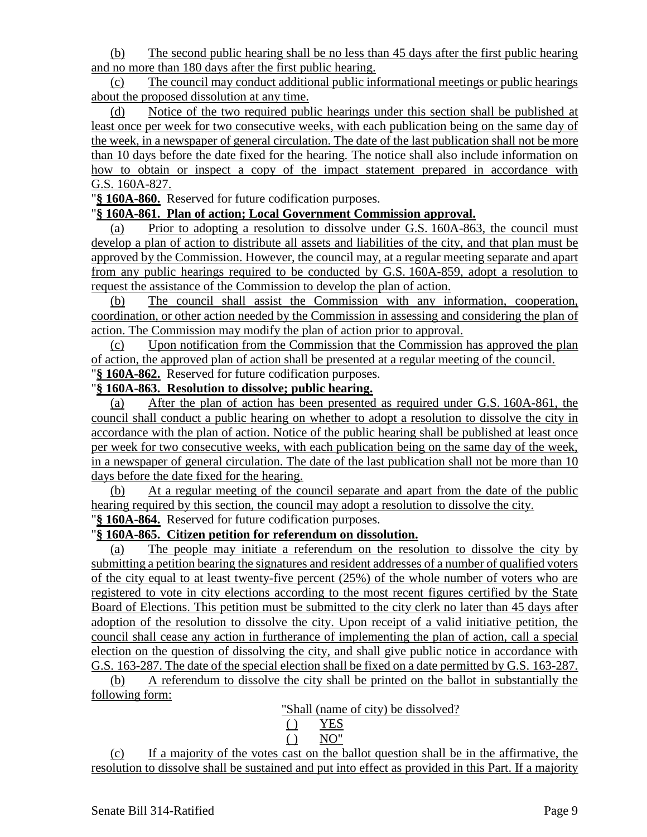(b) The second public hearing shall be no less than 45 days after the first public hearing and no more than 180 days after the first public hearing.

(c) The council may conduct additional public informational meetings or public hearings about the proposed dissolution at any time.

(d) Notice of the two required public hearings under this section shall be published at least once per week for two consecutive weeks, with each publication being on the same day of the week, in a newspaper of general circulation. The date of the last publication shall not be more than 10 days before the date fixed for the hearing. The notice shall also include information on how to obtain or inspect a copy of the impact statement prepared in accordance with G.S. 160A-827.

"**§ 160A-860.** Reserved for future codification purposes.

#### "**§ 160A-861. Plan of action; Local Government Commission approval.**

(a) Prior to adopting a resolution to dissolve under G.S. 160A-863, the council must develop a plan of action to distribute all assets and liabilities of the city, and that plan must be approved by the Commission. However, the council may, at a regular meeting separate and apart from any public hearings required to be conducted by G.S. 160A-859, adopt a resolution to request the assistance of the Commission to develop the plan of action.

(b) The council shall assist the Commission with any information, cooperation, coordination, or other action needed by the Commission in assessing and considering the plan of action. The Commission may modify the plan of action prior to approval.

(c) Upon notification from the Commission that the Commission has approved the plan of action, the approved plan of action shall be presented at a regular meeting of the council. "**§ 160A-862.** Reserved for future codification purposes.

#### "**§ 160A-863. Resolution to dissolve; public hearing.**

(a) After the plan of action has been presented as required under G.S. 160A-861, the council shall conduct a public hearing on whether to adopt a resolution to dissolve the city in accordance with the plan of action. Notice of the public hearing shall be published at least once per week for two consecutive weeks, with each publication being on the same day of the week, in a newspaper of general circulation. The date of the last publication shall not be more than 10 days before the date fixed for the hearing.

(b) At a regular meeting of the council separate and apart from the date of the public hearing required by this section, the council may adopt a resolution to dissolve the city.

# "**§ 160A-864.** Reserved for future codification purposes.

## "**§ 160A-865. Citizen petition for referendum on dissolution.**

(a) The people may initiate a referendum on the resolution to dissolve the city by submitting a petition bearing the signatures and resident addresses of a number of qualified voters of the city equal to at least twenty-five percent (25%) of the whole number of voters who are registered to vote in city elections according to the most recent figures certified by the State Board of Elections. This petition must be submitted to the city clerk no later than 45 days after adoption of the resolution to dissolve the city. Upon receipt of a valid initiative petition, the council shall cease any action in furtherance of implementing the plan of action, call a special election on the question of dissolving the city, and shall give public notice in accordance with G.S. 163-287. The date of the special election shall be fixed on a date permitted by G.S. 163-287.

(b) A referendum to dissolve the city shall be printed on the ballot in substantially the following form:

"Shall (name of city) be dissolved?

$$
\begin{array}{cc}\n\text{()} & \text{YES} \\
\text{()} & \text{NO}^{\prime}\n\end{array}
$$

(c) If a majority of the votes cast on the ballot question shall be in the affirmative, the resolution to dissolve shall be sustained and put into effect as provided in this Part. If a majority